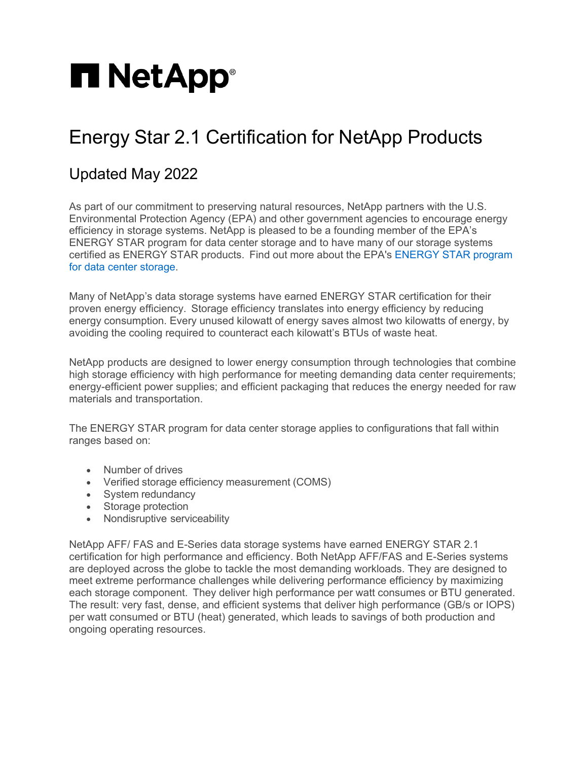## **H** NetApp<sup>®</sup>

## Energy Star 2.1 Certification for NetApp Products

## Updated May 2022

As part of our commitment to preserving natural resources, NetApp partners with the U.S. Environmental Protection Agency (EPA) and other government agencies to encourage energy efficiency in storage systems. NetApp is pleased to be a founding member of the EPA's ENERGY STAR program for data center storage and to have many of our storage systems certified as ENERGY STAR products. Find out more about the EPA's [ENERGY](http://www.energystar.gov/certified-products/detail/data_center_storage) STAR program [for data center storage.](http://www.energystar.gov/certified-products/detail/data_center_storage)

Many of NetApp's data storage systems have earned ENERGY STAR certification for their proven energy efficiency. Storage efficiency translates into energy efficiency by reducing energy consumption. Every unused kilowatt of energy saves almost two kilowatts of energy, by avoiding the cooling required to counteract each kilowatt's BTUs of waste heat.

NetApp products are designed to lower energy consumption through technologies that combine high storage efficiency with high performance for meeting demanding data center requirements; energy-efficient power supplies; and efficient packaging that reduces the energy needed for raw materials and transportation.

The ENERGY STAR program for data center storage applies to configurations that fall within ranges based on:

- Number of drives
- Verified storage efficiency measurement (COMS)
- System redundancy
- Storage protection
- Nondisruptive serviceability

NetApp AFF/ FAS and E-Series data storage systems have earned ENERGY STAR 2.1 certification for high performance and efficiency. Both NetApp AFF/FAS and E-Series systems are deployed across the globe to tackle the most demanding workloads. They are designed to meet extreme performance challenges while delivering performance efficiency by maximizing each storage component. They deliver high performance per watt consumes or BTU generated. The result: very fast, dense, and efficient systems that deliver high performance (GB/s or IOPS) per watt consumed or BTU (heat) generated, which leads to savings of both production and ongoing operating resources.